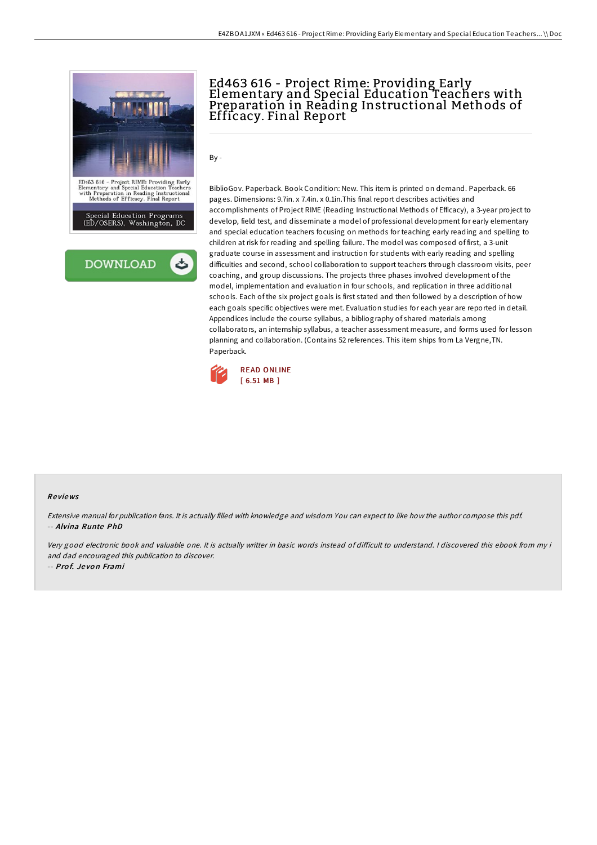



## Ed463 616 - Project Rime: Providing Early Elementary and Special Education Teachers with Preparation in Reading Instructional Methods of Efficacy. Final Report

By -

BiblioGov. Paperback. Book Condition: New. This item is printed on demand. Paperback. 66 pages. Dimensions: 9.7in. x 7.4in. x 0.1in.This final report describes activities and accomplishments of Project RIME (Reading Instructional Methods of Efficacy), a 3-year project to develop, field test, and disseminate a model of professional development for early elementary and special education teachers focusing on methods for teaching early reading and spelling to children at risk for reading and spelling failure. The model was composed of first, a 3-unit graduate course in assessment and instruction for students with early reading and spelling difficulties and second, school collaboration to support teachers through classroom visits, peer coaching, and group discussions. The projects three phases involved development of the model, implementation and evaluation in four schools, and replication in three additional schools. Each of the six project goals is first stated and then followed by a description of how each goals specific objectives were met. Evaluation studies for each year are reported in detail. Appendices include the course syllabus, a bibliography of shared materials among collaborators, an internship syllabus, a teacher assessment measure, and forms used for lesson planning and collaboration. (Contains 52 references. This item ships from La Vergne,TN. Paperback.



## Re views

Extensive manual for publication fans. It is actually filled with knowledge and wisdom You can expect to like how the author compose this pdf. -- Alvina Runte PhD

Very good electronic book and valuable one. It is actually writter in basic words instead of difficult to understand. I discovered this ebook from my i and dad encouraged this publication to discover. -- Pro f. Je vo <sup>n</sup> Frami